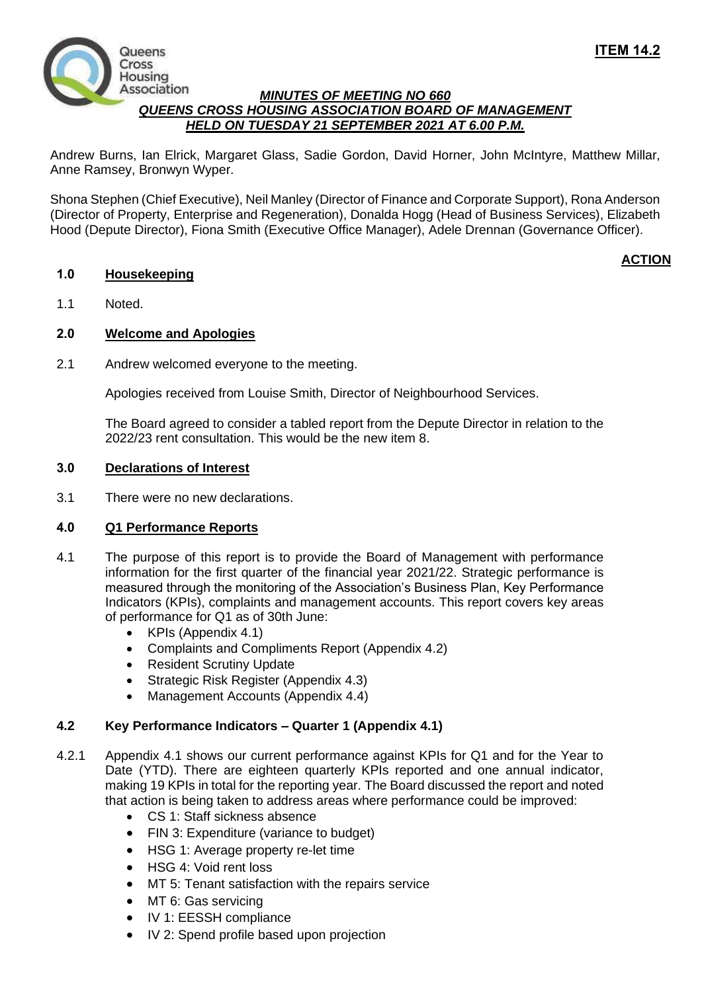

# *MINUTES OF MEETING NO 660 QUEENS CROSS HOUSING ASSOCIATION BOARD OF MANAGEMENT HELD ON TUESDAY 21 SEPTEMBER 2021 AT 6.00 P.M.*

Andrew Burns, Ian Elrick, Margaret Glass, Sadie Gordon, David Horner, John McIntyre, Matthew Millar, Anne Ramsey, Bronwyn Wyper.

Shona Stephen (Chief Executive), Neil Manley (Director of Finance and Corporate Support), Rona Anderson (Director of Property, Enterprise and Regeneration), Donalda Hogg (Head of Business Services), Elizabeth Hood (Depute Director), Fiona Smith (Executive Office Manager), Adele Drennan (Governance Officer).

# **1.0 Housekeeping**

# **ACTION**

1.1 Noted.

# **2.0 Welcome and Apologies**

2.1 Andrew welcomed everyone to the meeting.

Apologies received from Louise Smith, Director of Neighbourhood Services.

The Board agreed to consider a tabled report from the Depute Director in relation to the 2022/23 rent consultation. This would be the new item 8.

## **3.0 Declarations of Interest**

3.1 There were no new declarations.

## **4.0 Q1 Performance Reports**

- 4.1 The purpose of this report is to provide the Board of Management with performance information for the first quarter of the financial year 2021/22. Strategic performance is measured through the monitoring of the Association's Business Plan, Key Performance Indicators (KPIs), complaints and management accounts. This report covers key areas of performance for Q1 as of 30th June:
	- KPIs (Appendix 4.1)
	- Complaints and Compliments Report (Appendix 4.2)
	- Resident Scrutiny Update
	- Strategic Risk Register (Appendix 4.3)
	- Management Accounts (Appendix 4.4)

## **4.2 Key Performance Indicators – Quarter 1 (Appendix 4.1)**

- 4.2.1 Appendix 4.1 shows our current performance against KPIs for Q1 and for the Year to Date (YTD). There are eighteen quarterly KPIs reported and one annual indicator, making 19 KPIs in total for the reporting year. The Board discussed the report and noted that action is being taken to address areas where performance could be improved:
	- CS 1: Staff sickness absence
	- FIN 3: Expenditure (variance to budget)
	- HSG 1: Average property re-let time
	- HSG 4: Void rent loss
	- MT 5: Tenant satisfaction with the repairs service
	- MT 6: Gas servicing
	- IV 1: EESSH compliance
	- IV 2: Spend profile based upon projection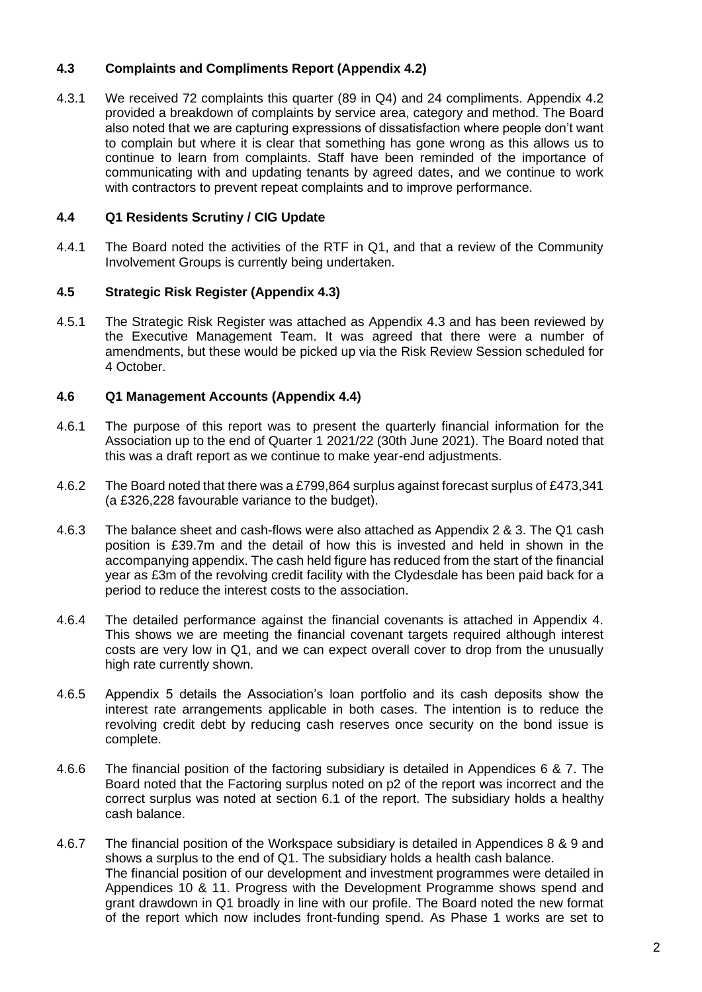# **4.3 Complaints and Compliments Report (Appendix 4.2)**

4.3.1 We received 72 complaints this quarter (89 in Q4) and 24 compliments. Appendix 4.2 provided a breakdown of complaints by service area, category and method. The Board also noted that we are capturing expressions of dissatisfaction where people don't want to complain but where it is clear that something has gone wrong as this allows us to continue to learn from complaints. Staff have been reminded of the importance of communicating with and updating tenants by agreed dates, and we continue to work with contractors to prevent repeat complaints and to improve performance.

## **4.4 Q1 Residents Scrutiny / CIG Update**

4.4.1 The Board noted the activities of the RTF in Q1, and that a review of the Community Involvement Groups is currently being undertaken.

# **4.5 Strategic Risk Register (Appendix 4.3)**

4.5.1 The Strategic Risk Register was attached as Appendix 4.3 and has been reviewed by the Executive Management Team. It was agreed that there were a number of amendments, but these would be picked up via the Risk Review Session scheduled for 4 October.

# **4.6 Q1 Management Accounts (Appendix 4.4)**

- 4.6.1 The purpose of this report was to present the quarterly financial information for the Association up to the end of Quarter 1 2021/22 (30th June 2021). The Board noted that this was a draft report as we continue to make year-end adjustments.
- 4.6.2 The Board noted that there was a £799,864 surplus against forecast surplus of £473,341 (a £326,228 favourable variance to the budget).
- 4.6.3 The balance sheet and cash-flows were also attached as Appendix 2 & 3. The Q1 cash position is £39.7m and the detail of how this is invested and held in shown in the accompanying appendix. The cash held figure has reduced from the start of the financial year as £3m of the revolving credit facility with the Clydesdale has been paid back for a period to reduce the interest costs to the association.
- 4.6.4 The detailed performance against the financial covenants is attached in Appendix 4. This shows we are meeting the financial covenant targets required although interest costs are very low in Q1, and we can expect overall cover to drop from the unusually high rate currently shown.
- 4.6.5 Appendix 5 details the Association's loan portfolio and its cash deposits show the interest rate arrangements applicable in both cases. The intention is to reduce the revolving credit debt by reducing cash reserves once security on the bond issue is complete.
- 4.6.6 The financial position of the factoring subsidiary is detailed in Appendices 6 & 7. The Board noted that the Factoring surplus noted on p2 of the report was incorrect and the correct surplus was noted at section 6.1 of the report. The subsidiary holds a healthy cash balance.
- 4.6.7 The financial position of the Workspace subsidiary is detailed in Appendices 8 & 9 and shows a surplus to the end of Q1. The subsidiary holds a health cash balance. The financial position of our development and investment programmes were detailed in Appendices 10 & 11. Progress with the Development Programme shows spend and grant drawdown in Q1 broadly in line with our profile. The Board noted the new format of the report which now includes front-funding spend. As Phase 1 works are set to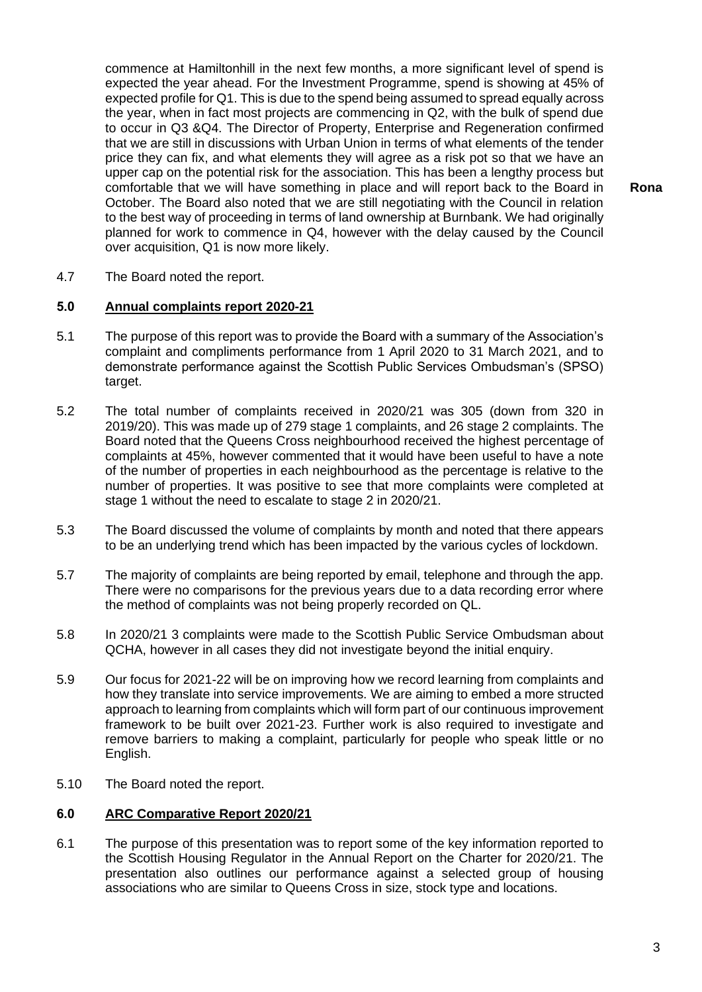commence at Hamiltonhill in the next few months, a more significant level of spend is expected the year ahead. For the Investment Programme, spend is showing at 45% of expected profile for Q1. This is due to the spend being assumed to spread equally across the year, when in fact most projects are commencing in Q2, with the bulk of spend due to occur in Q3 &Q4. The Director of Property, Enterprise and Regeneration confirmed that we are still in discussions with Urban Union in terms of what elements of the tender price they can fix, and what elements they will agree as a risk pot so that we have an upper cap on the potential risk for the association. This has been a lengthy process but comfortable that we will have something in place and will report back to the Board in October. The Board also noted that we are still negotiating with the Council in relation to the best way of proceeding in terms of land ownership at Burnbank. We had originally planned for work to commence in Q4, however with the delay caused by the Council over acquisition, Q1 is now more likely.

**Rona**

4.7 The Board noted the report.

### **5.0 Annual complaints report 2020-21**

- 5.1 The purpose of this report was to provide the Board with a summary of the Association's complaint and compliments performance from 1 April 2020 to 31 March 2021, and to demonstrate performance against the Scottish Public Services Ombudsman's (SPSO) target.
- 5.2 The total number of complaints received in 2020/21 was 305 (down from 320 in 2019/20). This was made up of 279 stage 1 complaints, and 26 stage 2 complaints. The Board noted that the Queens Cross neighbourhood received the highest percentage of complaints at 45%, however commented that it would have been useful to have a note of the number of properties in each neighbourhood as the percentage is relative to the number of properties. It was positive to see that more complaints were completed at stage 1 without the need to escalate to stage 2 in 2020/21.
- 5.3 The Board discussed the volume of complaints by month and noted that there appears to be an underlying trend which has been impacted by the various cycles of lockdown.
- 5.7 The majority of complaints are being reported by email, telephone and through the app. There were no comparisons for the previous years due to a data recording error where the method of complaints was not being properly recorded on QL.
- 5.8 In 2020/21 3 complaints were made to the Scottish Public Service Ombudsman about QCHA, however in all cases they did not investigate beyond the initial enquiry.
- 5.9 Our focus for 2021-22 will be on improving how we record learning from complaints and how they translate into service improvements. We are aiming to embed a more structed approach to learning from complaints which will form part of our continuous improvement framework to be built over 2021-23. Further work is also required to investigate and remove barriers to making a complaint, particularly for people who speak little or no English.
- 5.10 The Board noted the report.

## **6.0 ARC Comparative Report 2020/21**

6.1 The purpose of this presentation was to report some of the key information reported to the Scottish Housing Regulator in the Annual Report on the Charter for 2020/21. The presentation also outlines our performance against a selected group of housing associations who are similar to Queens Cross in size, stock type and locations.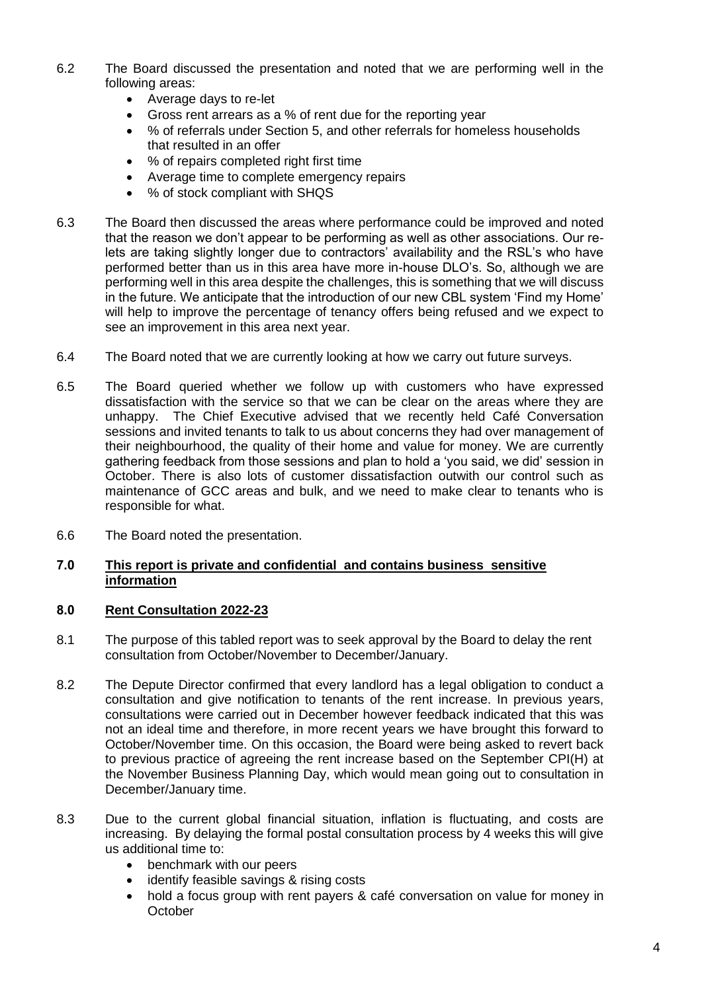- 6.2 The Board discussed the presentation and noted that we are performing well in the following areas:
	- Average days to re-let
	- Gross rent arrears as a % of rent due for the reporting year
	- % of referrals under Section 5, and other referrals for homeless households that resulted in an offer
	- % of repairs completed right first time
	- Average time to complete emergency repairs
	- % of stock compliant with SHOS
- 6.3 The Board then discussed the areas where performance could be improved and noted that the reason we don't appear to be performing as well as other associations. Our relets are taking slightly longer due to contractors' availability and the RSL's who have performed better than us in this area have more in-house DLO's. So, although we are performing well in this area despite the challenges, this is something that we will discuss in the future. We anticipate that the introduction of our new CBL system 'Find my Home' will help to improve the percentage of tenancy offers being refused and we expect to see an improvement in this area next year.
- 6.4 The Board noted that we are currently looking at how we carry out future surveys.
- 6.5 The Board queried whether we follow up with customers who have expressed dissatisfaction with the service so that we can be clear on the areas where they are unhappy. The Chief Executive advised that we recently held Café Conversation sessions and invited tenants to talk to us about concerns they had over management of their neighbourhood, the quality of their home and value for money. We are currently gathering feedback from those sessions and plan to hold a 'you said, we did' session in October. There is also lots of customer dissatisfaction outwith our control such as maintenance of GCC areas and bulk, and we need to make clear to tenants who is responsible for what.
- 6.6 The Board noted the presentation.

## **7.0 This report is private and confidential and contains business sensitive information**

## **8.0 Rent Consultation 2022-23**

- 8.1 The purpose of this tabled report was to seek approval by the Board to delay the rent consultation from October/November to December/January.
- 8.2 The Depute Director confirmed that every landlord has a legal obligation to conduct a consultation and give notification to tenants of the rent increase. In previous years, consultations were carried out in December however feedback indicated that this was not an ideal time and therefore, in more recent years we have brought this forward to October/November time. On this occasion, the Board were being asked to revert back to previous practice of agreeing the rent increase based on the September CPI(H) at the November Business Planning Day, which would mean going out to consultation in December/January time.
- 8.3 Due to the current global financial situation, inflation is fluctuating, and costs are increasing. By delaying the formal postal consultation process by 4 weeks this will give us additional time to:
	- benchmark with our peers
	- identify feasible savings & rising costs
	- hold a focus group with rent payers & café conversation on value for money in **October**